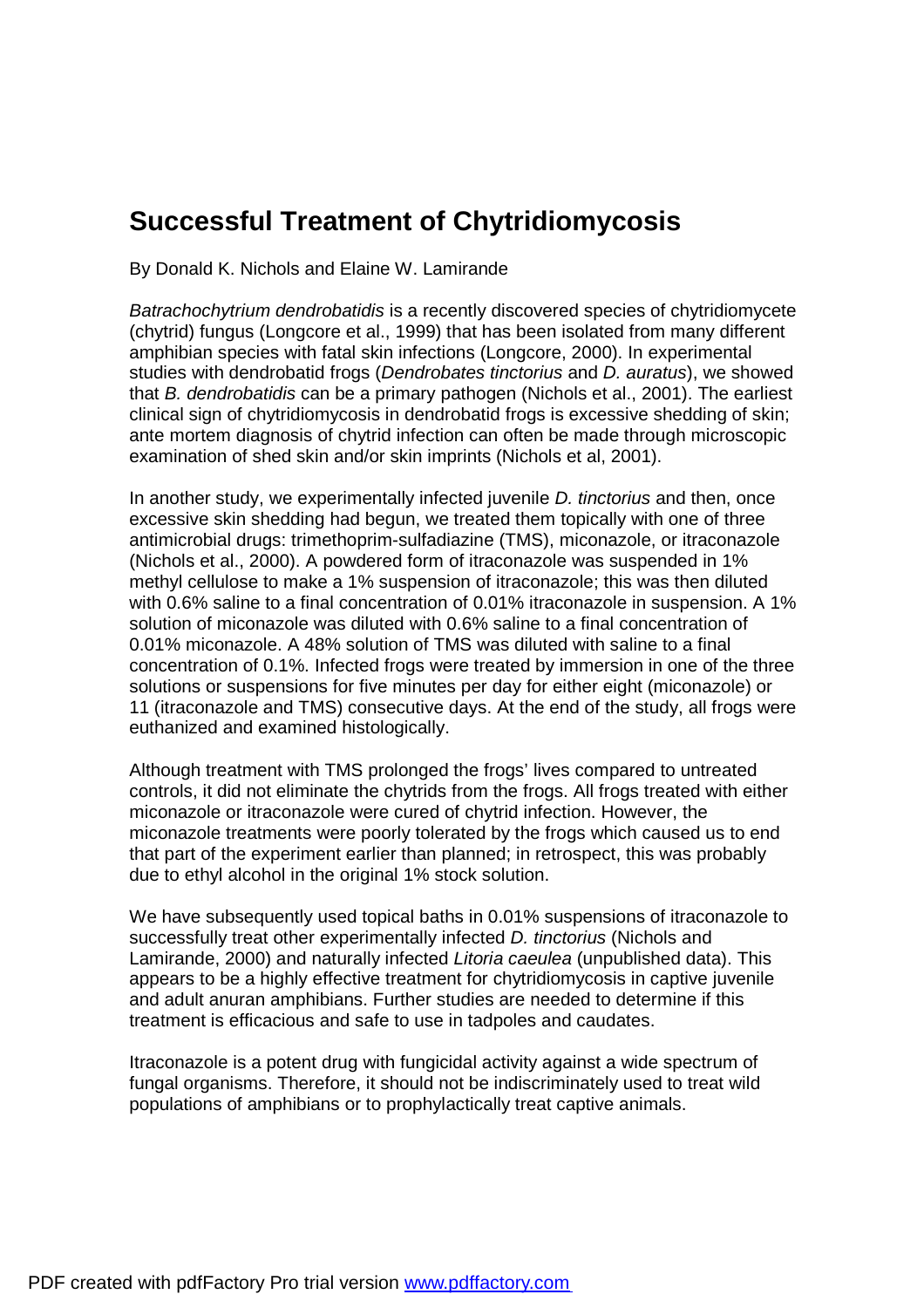## **Successful Treatment of Chytridiomycosis**

By Donald K. Nichols and Elaine W. Lamirande

*Batrachochytrium dendrobatidis* is a recently discovered species of chytridiomycete (chytrid) fungus (Longcore et al., 1999) that has been isolated from many different amphibian species with fatal skin infections (Longcore, 2000). In experimental studies with dendrobatid frogs (*Dendrobates tinctorius* and *D. auratus*), we showed that *B. dendrobatidis* can be a primary pathogen (Nichols et al., 2001). The earliest clinical sign of chytridiomycosis in dendrobatid frogs is excessive shedding of skin; ante mortem diagnosis of chytrid infection can often be made through microscopic examination of shed skin and/or skin imprints (Nichols et al, 2001).

In another study, we experimentally infected juvenile *D. tinctorius* and then, once excessive skin shedding had begun, we treated them topically with one of three antimicrobial drugs: trimethoprim-sulfadiazine (TMS), miconazole, or itraconazole (Nichols et al., 2000). A powdered form of itraconazole was suspended in 1% methyl cellulose to make a 1% suspension of itraconazole; this was then diluted with 0.6% saline to a final concentration of 0.01% itraconazole in suspension. A 1% solution of miconazole was diluted with 0.6% saline to a final concentration of 0.01% miconazole. A 48% solution of TMS was diluted with saline to a final concentration of 0.1%. Infected frogs were treated by immersion in one of the three solutions or suspensions for five minutes per day for either eight (miconazole) or 11 (itraconazole and TMS) consecutive days. At the end of the study, all frogs were euthanized and examined histologically.

Although treatment with TMS prolonged the frogs' lives compared to untreated controls, it did not eliminate the chytrids from the frogs. All frogs treated with either miconazole or itraconazole were cured of chytrid infection. However, the miconazole treatments were poorly tolerated by the frogs which caused us to end that part of the experiment earlier than planned; in retrospect, this was probably due to ethyl alcohol in the original 1% stock solution.

We have subsequently used topical baths in 0.01% suspensions of itraconazole to successfully treat other experimentally infected *D. tinctorius* (Nichols and Lamirande, 2000) and naturally infected *Litoria caeulea* (unpublished data). This appears to be a highly effective treatment for chytridiomycosis in captive juvenile and adult anuran amphibians. Further studies are needed to determine if this treatment is efficacious and safe to use in tadpoles and caudates.

Itraconazole is a potent drug with fungicidal activity against a wide spectrum of fungal organisms. Therefore, it should not be indiscriminately used to treat wild populations of amphibians or to prophylactically treat captive animals.